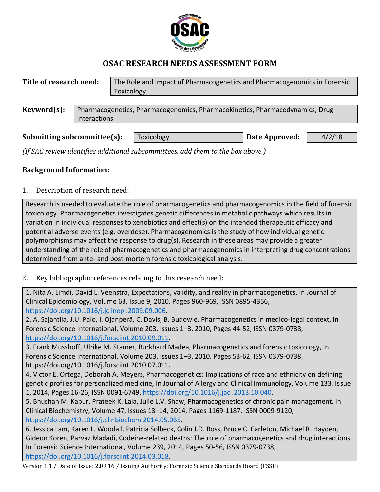

# **OSAC RESEARCH NEEDS ASSESSMENT FORM**

| Title of research need:     |                                                                                              | The Role and Impact of Pharmacogenetics and Pharmacogenomics in Forensic<br>Toxicology |                |        |  |  |  |
|-----------------------------|----------------------------------------------------------------------------------------------|----------------------------------------------------------------------------------------|----------------|--------|--|--|--|
| Keyword(s):                 | Pharmacogenetics, Pharmacogenomics, Pharmacokinetics, Pharmacodynamics, Drug<br>Interactions |                                                                                        |                |        |  |  |  |
| Submitting subcommittee(s): |                                                                                              | Toxicology                                                                             | Date Approved: | 4/2/18 |  |  |  |

*(If SAC review identifies additional subcommittees, add them to the box above.)*

#### **Background Information:**

1. Description of research need:

Research is needed to evaluate the role of pharmacogenetics and pharmacogenomics in the field of forensic toxicology. Pharmacogenetics investigates genetic differences in metabolic pathways which results in variation in individual responses to xenobiotics and effect(s) on the intended therapeutic efficacy and potential adverse events (e.g. overdose). Pharmacogenomics is the study of how individual genetic polymorphisms may affect the response to drug(s). Research in these areas may provide a greater understanding of the role of pharmacogenetics and pharmacogenomics in interpreting drug concentrations determined from ante- and post-mortem forensic toxicological analysis.

### 2. Key bibliographic references relating to this research need:

1. Nita A. Limdi, David L. Veenstra, Expectations, validity, and reality in pharmacogenetics, In Journal of Clinical Epidemiology, Volume 63, Issue 9, 2010, Pages 960-969, ISSN 0895-4356, [https://doi.org/10.1016/j.jclinepi.2009.09.006.](https://doi.org/10.1016/j.jclinepi.2009.09.006)

2. A. Sajantila, J.U. Palo, I. Ojanperä, C. Davis, B. Budowle, Pharmacogenetics in medico-legal context, In Forensic Science International, Volume 203, Issues 1–3, 2010, Pages 44-52, ISSN 0379-0738, [https://doi.org/10.1016/j.forsciint.2010.09.011.](https://doi.org/10.1016/j.forsciint.2010.09.011)

3. Frank Musshoff, Ulrike M. Stamer, Burkhard Madea, Pharmacogenetics and forensic toxicology, In Forensic Science International, Volume 203, Issues 1–3, 2010, Pages 53-62, ISSN 0379-0738, https://doi.org/10.1016/j.forsciint.2010.07.011.

4. Victor E. Ortega, Deborah A. Meyers, Pharmacogenetics: Implications of race and ethnicity on defining genetic profiles for personalized medicine, In Journal of Allergy and Clinical Immunology, Volume 133, Issue 1, 2014, Pages 16-26, ISSN 0091-6749, [https://doi.org/10.1016/j.jaci.2013.10.040.](https://doi.org/10.1016/j.jaci.2013.10.040)

5. Bhushan M. Kapur, Prateek K. Lala, Julie L.V. Shaw, Pharmacogenetics of chronic pain management, In Clinical Biochemistry, Volume 47, Issues 13–14, 2014, Pages 1169-1187, ISSN 0009-9120, [https://doi.org/10.1016/j.clinbiochem.2014.05.065.](https://doi.org/10.1016/j.clinbiochem.2014.05.065)

6. Jessica Lam, Karen L. Woodall, Patricia Solbeck, Colin J.D. Ross, Bruce C. Carleton, Michael R. Hayden, Gideon Koren, Parvaz Madadi, Codeine-related deaths: The role of pharmacogenetics and drug interactions, In Forensic Science International, Volume 239, 2014, Pages 50-56, ISSN 0379-0738, [https://doi.org/10.1016/j.forsciint.2014.03.018.](https://doi.org/10.1016/j.forsciint.2014.03.018)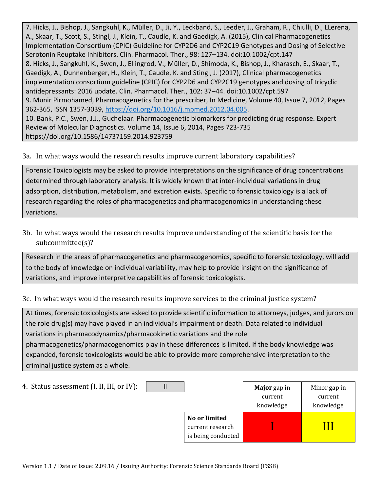7. Hicks, J., Bishop, J., Sangkuhl, K., Müller, D., Ji, Y., Leckband, S., Leeder, J., Graham, R., Chiulli, D., LLerena, A., Skaar, T., Scott, S., Stingl, J., Klein, T., Caudle, K. and Gaedigk, A. (2015), Clinical Pharmacogenetics Implementation Consortium (CPIC) Guideline for CYP2D6 and CYP2C19 Genotypes and Dosing of Selective Serotonin Reuptake Inhibitors. Clin. Pharmacol. Ther., 98: 127–134. doi:10.1002/cpt.147 8. Hicks, J., Sangkuhl, K., Swen, J., Ellingrod, V., Müller, D., Shimoda, K., Bishop, J., Kharasch, E., Skaar, T., Gaedigk, A., Dunnenberger, H., Klein, T., Caudle, K. and Stingl, J. (2017), Clinical pharmacogenetics implementation consortium guideline (CPIC) for CYP2D6 and CYP2C19 genotypes and dosing of tricyclic antidepressants: 2016 update. Clin. Pharmacol. Ther., 102: 37–44. doi:10.1002/cpt.597 9. Munir Pirmohamed, Pharmacogenetics for the prescriber, In Medicine, Volume 40, Issue 7, 2012, Pages 362-365, ISSN 1357-3039, [https://doi.org/10.1016/j.mpmed.2012.04.005.](https://doi.org/10.1016/j.mpmed.2012.04.005) 10. Bank, P.C., Swen, J.J., Guchelaar. Pharmacogenetic biomarkers for predicting drug response. Expert Review of Molecular Diagnostics. Volume 14, Issue 6, 2014, Pages 723-735 https://doi.org/10.1586/14737159.2014.923759

### 3a. In what ways would the research results improve current laboratory capabilities?

Forensic Toxicologists may be asked to provide interpretations on the significance of drug concentrations determined through laboratory analysis. It is widely known that inter-individual variations in drug adsorption, distribution, metabolism, and excretion exists. Specific to forensic toxicology is a lack of research regarding the roles of pharmacogenetics and pharmacogenomics in understanding these variations.

3b. In what ways would the research results improve understanding of the scientific basis for the subcommittee(s)?

Research in the areas of pharmacogenetics and pharmacogenomics, specific to forensic toxicology, will add to the body of knowledge on individual variability, may help to provide insight on the significance of variations, and improve interpretive capabilities of forensic toxicologists.

3c. In what ways would the research results improve services to the criminal justice system?

At times, forensic toxicologists are asked to provide scientific information to attorneys, judges, and jurors on the role drug(s) may have played in an individual's impairment or death. Data related to individual variations in pharmacodynamics/pharmacokinetic variations and the role pharmacogenetics/pharmacogenomics play in these differences is limited. If the body knowledge was expanded, forensic toxicologists would be able to provide more comprehensive interpretation to the criminal justice system as a whole.

| 4. Status assessment (I, II, III, or IV):<br>ш |                                                         | Major gap in<br>current<br>knowledge | Minor gap in<br>current<br>knowledge |
|------------------------------------------------|---------------------------------------------------------|--------------------------------------|--------------------------------------|
|                                                | No or limited<br>current research<br>is being conducted |                                      |                                      |